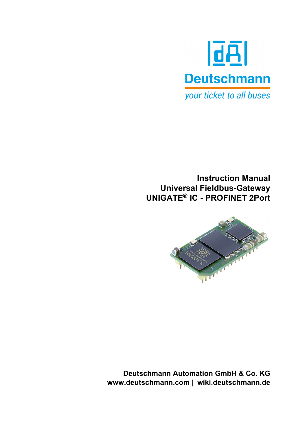

# **Instruction Manual Universal Fieldbus-Gateway UNIGATE® IC - PROFINET 2Port**



**Deutschmann Automation GmbH & Co. KG www.deutschmann.com | wiki.deutschmann.de**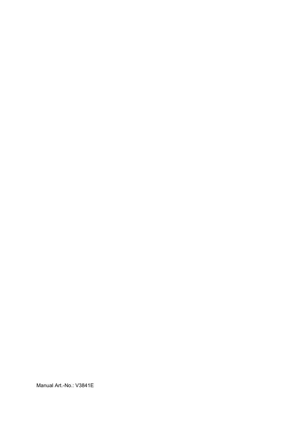Manual Art.-No.: V3841E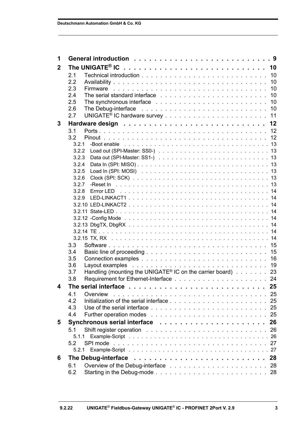| 1              |                                                                                                                                                                                                                                       |    |
|----------------|---------------------------------------------------------------------------------------------------------------------------------------------------------------------------------------------------------------------------------------|----|
| $\overline{2}$ |                                                                                                                                                                                                                                       |    |
|                | 2.1                                                                                                                                                                                                                                   |    |
|                | 2.2                                                                                                                                                                                                                                   |    |
|                | 2.3                                                                                                                                                                                                                                   |    |
|                | 2.4                                                                                                                                                                                                                                   |    |
|                | 2.5                                                                                                                                                                                                                                   |    |
|                | The Debug-interface resonal contract to contract the contract of the Debug-interface resonal contract to contract the UP of the UP of the UP of the UP of the UP of the UP of the UP of the UP of the UP of the UP of the UP o<br>2.6 |    |
|                | 2.7                                                                                                                                                                                                                                   |    |
| 3              |                                                                                                                                                                                                                                       |    |
|                | 3.1                                                                                                                                                                                                                                   |    |
|                | 3.2                                                                                                                                                                                                                                   |    |
|                | 3.2.1                                                                                                                                                                                                                                 |    |
|                | 3.2.2                                                                                                                                                                                                                                 |    |
|                | 3.2.3                                                                                                                                                                                                                                 |    |
|                | 3.2.4                                                                                                                                                                                                                                 |    |
|                | 3.2.5                                                                                                                                                                                                                                 |    |
|                | 3.2.6                                                                                                                                                                                                                                 |    |
|                | 3.2.7                                                                                                                                                                                                                                 |    |
|                | 3.2.8                                                                                                                                                                                                                                 |    |
|                |                                                                                                                                                                                                                                       |    |
|                |                                                                                                                                                                                                                                       |    |
|                |                                                                                                                                                                                                                                       |    |
|                |                                                                                                                                                                                                                                       |    |
|                |                                                                                                                                                                                                                                       |    |
|                |                                                                                                                                                                                                                                       |    |
|                |                                                                                                                                                                                                                                       |    |
|                | 3.3                                                                                                                                                                                                                                   |    |
|                | 3.4                                                                                                                                                                                                                                   |    |
|                | 3.5                                                                                                                                                                                                                                   |    |
|                | 3.6<br>3.7                                                                                                                                                                                                                            |    |
|                | Handling (mounting the UNIGATE® IC on the carrier board) 23<br>3.8                                                                                                                                                                    |    |
|                |                                                                                                                                                                                                                                       |    |
| 4              |                                                                                                                                                                                                                                       |    |
|                | 4.1<br>Overview                                                                                                                                                                                                                       |    |
|                | 4.2                                                                                                                                                                                                                                   | 25 |
|                | 4.3                                                                                                                                                                                                                                   | 25 |
|                | 4.4                                                                                                                                                                                                                                   | 25 |
| 5              |                                                                                                                                                                                                                                       | 26 |
|                | 5.1                                                                                                                                                                                                                                   | 26 |
|                | 5.1.1                                                                                                                                                                                                                                 |    |
|                | 5.2                                                                                                                                                                                                                                   |    |
|                |                                                                                                                                                                                                                                       |    |
| 6              | The Debug-interface                                                                                                                                                                                                                   | 28 |
|                | 6.1                                                                                                                                                                                                                                   |    |
|                | 6.2                                                                                                                                                                                                                                   |    |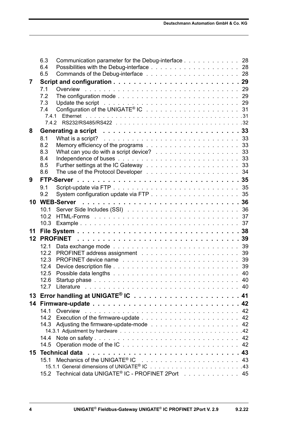|    | Communication parameter for the Debug-interface 28<br>6.3                                                                    |    |
|----|------------------------------------------------------------------------------------------------------------------------------|----|
|    | 6.4                                                                                                                          |    |
|    | 6.5                                                                                                                          |    |
| 7  |                                                                                                                              |    |
|    | 7.1                                                                                                                          |    |
|    | 7.2                                                                                                                          |    |
|    | 7.3<br>Update the script research research research research research research research research research research re<br>7.4 |    |
|    | 7.4.1                                                                                                                        |    |
|    | 7.4.2                                                                                                                        |    |
| 8  |                                                                                                                              |    |
|    | 8.1                                                                                                                          |    |
|    | 8.2                                                                                                                          |    |
|    | What can you do with a script device? 33<br>8.3                                                                              |    |
|    | 8.4                                                                                                                          |    |
|    | 8.5                                                                                                                          |    |
|    | 8.6                                                                                                                          |    |
| 9  |                                                                                                                              |    |
|    | 9.1                                                                                                                          |    |
|    | 9.2                                                                                                                          |    |
| 10 |                                                                                                                              |    |
|    | 10.1                                                                                                                         |    |
|    | 10.2                                                                                                                         |    |
|    |                                                                                                                              |    |
| 11 |                                                                                                                              |    |
| 12 |                                                                                                                              |    |
|    | 12.1<br>12.2                                                                                                                 |    |
|    | PROFINET device name response in the contract of the contract of the contract of the PROFINET device name<br>12.3            |    |
|    | 12.4                                                                                                                         |    |
|    | 12.5                                                                                                                         |    |
|    | 12.6                                                                                                                         |    |
|    | 12.7                                                                                                                         |    |
|    |                                                                                                                              |    |
| 14 |                                                                                                                              |    |
|    | Overview<br>14.1                                                                                                             | 42 |
|    | 14.2                                                                                                                         | 42 |
|    |                                                                                                                              | 42 |
|    |                                                                                                                              |    |
|    |                                                                                                                              |    |
|    | 14.5                                                                                                                         |    |
| 15 | <b>Technical data</b>                                                                                                        |    |
|    | 15.1                                                                                                                         |    |
|    | 15.2 Technical data UNIGATE <sup>®</sup> IC - PROFINET 2Port 45                                                              |    |
|    |                                                                                                                              |    |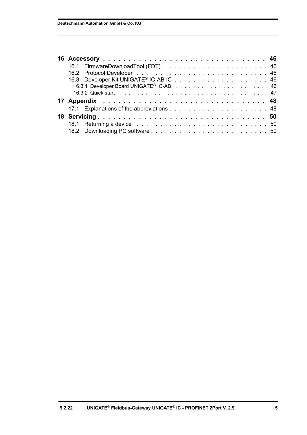| 18.1 Returning a device response to the contract of the contract of the contract of the contract of the contract of the contract of the contract of the contract of the contract of the contract of the contract of the contra |  |
|--------------------------------------------------------------------------------------------------------------------------------------------------------------------------------------------------------------------------------|--|
|                                                                                                                                                                                                                                |  |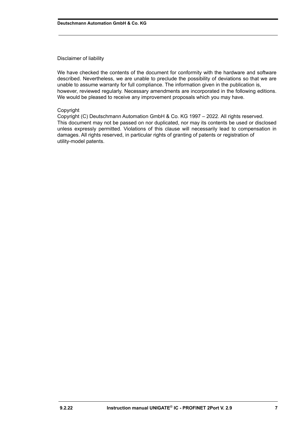#### Disclaimer of liability

We have checked the contents of the document for conformity with the hardware and software described. Nevertheless, we are unable to preclude the possibility of deviations so that we are unable to assume warranty for full compliance. The information given in the publication is, however, reviewed regularly. Necessary amendments are incorporated in the following editions. We would be pleased to receive any improvement proposals which you may have.

#### Copyright

Copyright (C) Deutschmann Automation GmbH & Co. KG 1997 – 2022. All rights reserved. This document may not be passed on nor duplicated, nor may its contents be used or disclosed unless expressly permitted. Violations of this clause will necessarily lead to compensation in damages. All rights reserved, in particular rights of granting of patents or registration of utility-model patents.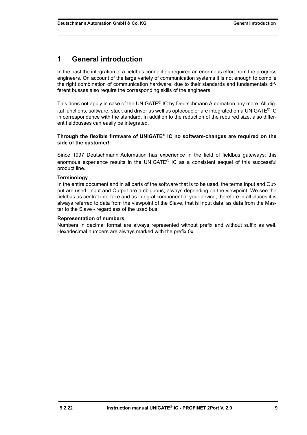# <span id="page-8-0"></span>**1 General introduction**

In the past the integration of a fieldbus connection required an enormous effort from the progress engineers. On account of the large variety of communication systems it is not enough to compile the right combination of communication hardware; due to their standards and fundamentals different busses also require the corresponding skills of the engineers.

This does not apply in case of the UNIGATE<sup>®</sup> IC by Deutschmann Automation any more. All digital functions, software, stack and driver as well as optocoupler are integrated on a UNIGATE® IC in correspondence with the standard. In addition to the reduction of the required size, also different fieldbusses can easily be integrated.

#### **Through the flexible firmware of UNIGATE® IC no software-changes are required on the side of the customer!**

Since 1997 Deutschmann Automation has experience in the field of fieldbus gateways; this enormous experience results in the UNIGATE<sup>®</sup> IC as a consistent sequel of this successful product line.

#### **Terminology**

In the entire document and in all parts of the software that is to be used, the terms Input and Output are used. Input and Output are ambiguous, always depending on the viewpoint. We see the fieldbus as central interface and as integral component of your device; therefore in all places it is always referred to data from the viewpoint of the Slave, that is Input data, as data from the Master to the Slave - regardless of the used bus.

#### **Representation of numbers**

Numbers in decimal format are always represented without prefix and without suffix as well. Hexadecimal numbers are always marked with the prefix 0x.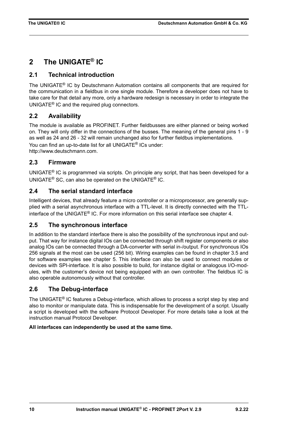# <span id="page-9-0"></span>**2 The UNIGATE® IC**

# <span id="page-9-1"></span>**2.1 Technical introduction**

The UNIGATE® IC by Deutschmann Automation contains all components that are required for the communication in a fieldbus in one single module. Therefore a developer does not have to take care for that detail any more, only a hardware redesign is necessary in order to integrate the UNIGATE® IC and the required plug connectors.

# <span id="page-9-2"></span>**2.2 Availability**

The module is available as PROFINET. Further fieldbusses are either planned or being worked on. They will only differ in the connections of the busses. The meaning of the general pins 1 - 9 as well as 24 and 26 - 32 will remain unchanged also for further fieldbus implementations. You can find an up-to-date list for all UNIGATE® ICs under: http://www.deutschmann.com.

# <span id="page-9-3"></span>**2.3 Firmware**

UNIGATE® IC is programmed via scripts. On principle any script, that has been developed for a UNIGATE® SC, can also be operated on the UNIGATE® IC.

# <span id="page-9-4"></span>**2.4 The serial standard interface**

Intelligent devices, that already feature a micro controller or a microprocessor, are generally supplied with a serial asynchronous interface with a TTL-level. It is directly connected with the TTLinterface of the UNIGATE® IC. For more information on this serial interface see [chapter 4.](#page-24-0)

# <span id="page-9-5"></span>**2.5 The synchronous interface**

In addition to the standard interface there is also the possibility of the synchronous input and output. That way for instance digital IOs can be connected through shift register components or also analog IOs can be connected through a DA-converter with serial in-/output. For synchronous IOs 256 signals at the most can be used (256 bit). Wiring examples can be found in [chapter 3.5](#page-15-0) and for software examples see [chapter 5](#page-25-0). This interface can also be used to connect modules or devices with SPI-interface. It is also possible to build, for instance digital or analogous I/O-modules, with the customer's device not being equipped with an own controller. The fieldbus IC is also operable autonomously without that controller.

# <span id="page-9-6"></span>**2.6 The Debug-interface**

The UNIGATE<sup>®</sup> IC features a Debug-interface, which allows to process a script step by step and also to monitor or manipulate data. This is indispensable for the development of a script. Usually a script is developed with the software Protocol Developer. For more details take a look at the instruction manual Protocol Developer.

### **All interfaces can independently be used at the same time.**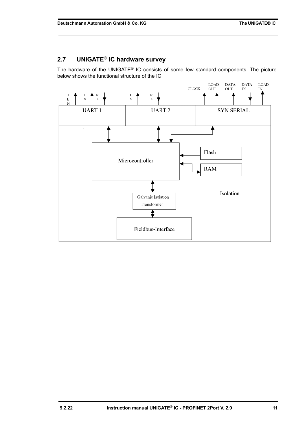# <span id="page-10-0"></span>**2.7 UNIGATE**® **IC hardware survey**

The hardware of the UNIGATE® IC consists of some few standard components. The picture below shows the functional structure of the IC.

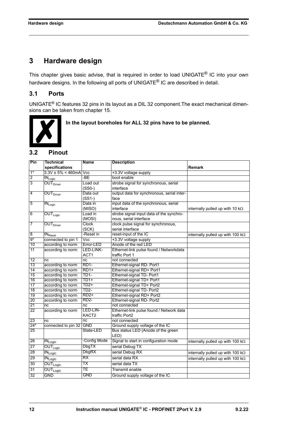# <span id="page-11-0"></span>**3 Hardware design**

This chapter gives basic advise, that is required in order to load UNIGATE<sup>®</sup> IC into your own hardware designs. In the following all ports of UNIGATE<sup>®</sup> IC are described in detail.

# <span id="page-11-1"></span>**3.1 Ports**

UNIGATE® IC features 32 pins in its layout as a DIL 32 component.The exact mechanical dimensions can be taken from [chapter 15.](#page-42-0)



 **In the layout boreholes for ALL 32 pins have to be planned.**

# <span id="page-11-2"></span>**3.2 Pinout**

| Pin                     | <b>Technical</b>                           | <b>Name</b>             | <b>Description</b>                         |                                          |
|-------------------------|--------------------------------------------|-------------------------|--------------------------------------------|------------------------------------------|
|                         | specifications                             |                         |                                            | Remark                                   |
| $1*$                    | $3.3V \pm 5\% < 460$ mA                    | $\overline{\text{Vcc}}$ | +3.3V voltage supply                       |                                          |
| $\overline{2}$          | $IN_{Logic}$                               | -BE                     | boot enable                                |                                          |
| $\overline{3}$          | OUT <sub>Driver</sub>                      | Load out                | strobe signal for synchronous, serial      |                                          |
|                         |                                            | $(SSO-)$                | interface                                  |                                          |
| $\overline{\mathbf{4}}$ | OUT <sub>Driver</sub>                      | Data out                | output data for synchronous, serial inter- |                                          |
|                         |                                            | $(SS1-)$                | face                                       |                                          |
| $\overline{5}$          | $IN_{Logic}$                               | Data in                 | input data of the synchronous, serial      |                                          |
|                         |                                            | (MISO)                  | interface                                  | internally pulled up with 10 $k\Omega$   |
| 6                       | $OUT_{Logic}$                              | Load in                 | strobe signal input data of the synchro-   |                                          |
|                         |                                            | (MOSI)                  | nous, serial interface                     |                                          |
| 7                       | OUT <sub>Direct</sub>                      | Clock                   | clock pulse signal for synchronous,        |                                          |
|                         |                                            | (SCK)                   | serial interface                           |                                          |
| $\overline{8}$          | $IN_{\text{Reset}}$                        | -Reset in               | reset-input of the IC                      | internally pulled up with 100 $k\Omega$  |
| $9*$                    | connected to pin 1                         | $\overline{\text{Vcc}}$ | +3.3V voltage supply                       |                                          |
| 10                      | according to norm                          | Error-LED               | Anode of the red LED                       |                                          |
| 11                      | according to norm                          | LED-LINK-               | Ethernet-link pulse found / Networkdata    |                                          |
|                         |                                            | ACT <sub>1</sub>        | traffic Port 1                             |                                          |
| 12                      | nc                                         | nc                      | not connected                              |                                          |
| 13                      | according to norm                          | RD <sub>1</sub> -       | Ethernet-signal RD- Port1                  |                                          |
| 14                      | according to norm                          | $RD1+$                  | Ethernet-signal RD+ Port1                  |                                          |
| 15                      | according to norm                          | TD1-                    | Ethernet-signal TD- Port1                  |                                          |
| 16                      | according to norm                          | TD1+                    | Ethernet-signal TD+ Port1                  |                                          |
| 17                      | according to norm                          | TD2+                    | Ethernet-signal TD+ Port2                  |                                          |
| 18                      | according to norm                          | TD <sub>2</sub> -       | Ethernet-signal TD- Port2                  |                                          |
| 19                      | according to norm                          | $RD2+$                  | Ethernet-signal RD+ Port2                  |                                          |
| 20                      | according to norm                          | <b>RD2-</b>             | Ethernet-signal RD- Port2                  |                                          |
| 21                      | nc                                         | nc                      | not connected                              |                                          |
| 22                      | according to norm                          | LED-LIN-                | Ethernet-link pulse found / Network data   |                                          |
|                         |                                            | KACT <sub>2</sub>       | traffic Port2                              |                                          |
| 23                      | nc                                         | nc                      | not connected                              |                                          |
| $24*$                   | connected to pin 32 GND                    |                         | Ground supply voltage of the IC            |                                          |
| 25                      |                                            | State-LED               | Bus status LED (Anode of the green         |                                          |
|                         |                                            |                         | LED)                                       |                                          |
| 26                      | $\overline{\text{IN}}_{\text{Logic}}$      | -Config Mode            | Signal to start in configuration mode      | internally pulled up with 100 $k\Omega$  |
| 27                      | $OUT_{Logic}$                              | <b>DbgTX</b>            | serial Debug TX                            |                                          |
| 28                      | $\overline{\textsf{IN}}_{\textsf{Logic}}$  | DbgRX                   | serial Debug RX                            | internally pulled up with 100 $k\Omega$  |
| 29                      | $\overline{\text{IN}_{\text{Logic}}}$      | RX                      | serial data RX                             | internally pulled up with 100 k $\Omega$ |
| 30                      | $\overline{\mathsf{OUT}_{\mathsf{Logic}}}$ | ТX                      | serial data TX                             |                                          |
| 31                      | $\overline{\text{OUT}}_{\text{Logic}}$     | TE                      | Transmit enable                            |                                          |
| 32                      | <b>GND</b>                                 | <b>GND</b>              | Ground supply voltage of the IC            |                                          |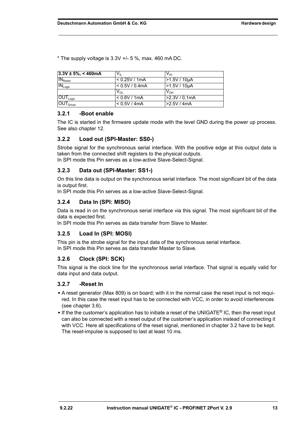$*$  The supply voltage is 3.3V  $+/-$  5 %, max. 460 mA DC.

| $3.3V \pm 5\%, < 460mA$                    | Vп             | $V_{\text{IH}}$ |
|--------------------------------------------|----------------|-----------------|
| $IN_{\text{Reset}}$                        | < 0.25V / 1mA  | -1.5V / 10µA    |
| $IN_{Logic}$                               | < 0.5V / 0.4mA | >1.5V / 10µA    |
|                                            | Voi            | V <sub>он</sub> |
| $\overline{\textsf{OUT}}_{\textsf{Logic}}$ | < 0.6V / 1mA   | > 2.3V / 0, 1mA |
| $\overline{\text{OUT}}_{\text{Direct}}$    | < 0.5V / 4mA   | >2.5V/4mA       |

#### <span id="page-12-0"></span>**3.2.1 -Boot enable**

The IC is started in the firmware update mode with the level GND during the power up process. See also [chapter 12](#page-38-0).

#### <span id="page-12-1"></span>**3.2.2 Load out (SPI-Master: SS0-)**

Strobe signal for the synchronous serial interface. With the positive edge at this output data is taken from the connected shift registers to the physical outputs.

In SPI mode this Pin serves as a low-active Slave-Select-Signal.

### <span id="page-12-2"></span>**3.2.3 Data out (SPI-Master: SS1-)**

On this line data is output on the synchronous serial interface. The most significant bit of the data is output first.

In SPI mode this Pin serves as a low-active Slave-Select-Signal.

### <span id="page-12-3"></span>**3.2.4 Data In (SPI: MISO)**

Data is read in on the synchronous serial interface via this signal. The most significant bit of the data is expected first.

In SPI mode this Pin serves as data transfer from Slave to Master.

#### <span id="page-12-4"></span>**3.2.5 Load In (SPI: MOSI)**

This pin is the strobe signal for the input data of the synchronous serial interface. In SPI mode this Pin serves as data transfer Master to Slave.

#### <span id="page-12-5"></span>**3.2.6 Clock (SPI: SCK)**

This signal is the clock line for the synchronous serial interface. That signal is equally valid for data input and data output.

#### <span id="page-12-6"></span>**3.2.7 -Reset In**

- **•** A reset generator (Max 809) is on board; with it in the normal case the reset input is not required. In this case the reset input has to be connected with VCC, in order to avoid interferences (see [chapter 3.6\)](#page-18-0).
- **•** If the the customer's application has to initiate a reset of the UNIGATE® IC, then the reset input can also be connected with a reset output of the customer's application instead of connecting it with VCC. Here all specifications of the reset signal, mentioned in [chapter 3.2](#page-11-2) have to be kept. The reset-impulse is supposed to last at least 10 ms.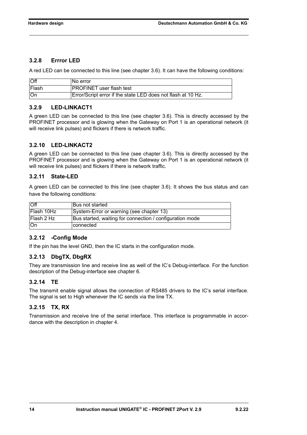### <span id="page-13-0"></span>**3.2.8 Errror LED**

A red LED can be connected to this line (see [chapter 3.6\)](#page-18-0). It can have the following conditions:

| Off   | No error                                                     |
|-------|--------------------------------------------------------------|
| Flash | <b>PROFINET</b> user flash test                              |
| ∣On   | Error/Script error if the state LED does not flash at 10 Hz. |

### <span id="page-13-1"></span>**3.2.9 LED-LINKACT1**

A green LED can be connected to this line (see [chapter 3.6\)](#page-18-0). This is directly accessed by the PROFINET processor and is glowing when the Gateway on Port 1 is an operational network (it will receive link pulses) and flickers if there is network traffic.

### <span id="page-13-2"></span>**3.2.10 LED-LINKACT2**

A green LED can be connected to this line (see [chapter 3.6\)](#page-18-0). This is directly accessed by the PROFINET processor and is glowing when the Gateway on Port 1 is an operational network (it will receive link pulses) and flickers if there is network traffic.

### <span id="page-13-3"></span>**3.2.11 State-LED**

A green LED can be connected to this line (see [chapter 3.6](#page-18-0)). It shows the bus status and can have the following conditions:

| $\overline{M}$    | <b>Bus not started</b>                                   |
|-------------------|----------------------------------------------------------|
| lFlash 10Hz       | System-Error or warning (see chapter 13)                 |
| <b>Flash 2 Hz</b> | Bus started, waiting for connection / configuration mode |
| ∣On               | connected                                                |

### <span id="page-13-4"></span>**3.2.12 -Config Mode**

If the pin has the level GND, then the IC starts in the configuration mode.

# <span id="page-13-5"></span>**3.2.13 DbgTX, DbgRX**

They are transmission line and receive line as well of the IC's Debug-interface. For the function description of the Debug-interface see [chapter 6](#page-27-0).

### <span id="page-13-6"></span>**3.2.14 TE**

The transmit enable signal allows the connection of RS485 drivers to the IC's serial interface. The signal is set to High whenever the IC sends via the line TX.

### <span id="page-13-7"></span>**3.2.15 TX, RX**

Transmission and receive line of the serial interface. This interface is programmable in accordance with the description in [chapter 4](#page-24-0).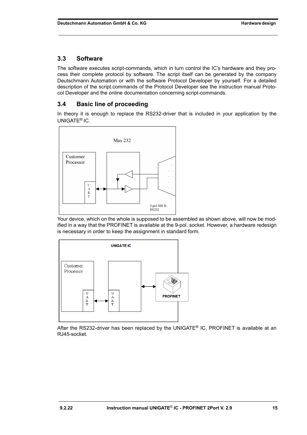# <span id="page-14-0"></span>**3.3 Software**

The software executes script-commands, which in turn control the IC's hardware and they process their complete protocol by software. The script itself can be generated by the company Deutschmann Automation or with the software Protocol Developer by yourself. For a detailed description of the script.commands of the Protocol Developer see the instruction manual Protocol Developer and the online documentation concerning script-commands.

# <span id="page-14-1"></span>**3.4 Basic line of proceeding**

In theory it is enough to replace the RS232-driver that is included in your application by the UNIGATE® IC.



Your device, which on the whole is supposed to be assembled as shown above, will now be modified in a way that the PROFINET is available at the 9-pol. socket. However, a hardware redesign is necessary in order to keep the assignment in standard form.



After the RS232-driver has been replaced by the UNIGATE<sup>®</sup> IC, PROFINET is available at an RJ45-socket.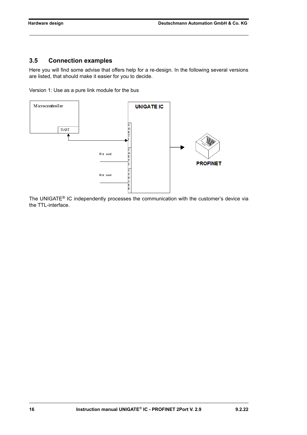# <span id="page-15-0"></span>**3.5 Connection examples**

Here you will find some advise that offers help for a re-design. In the following several versions are listed, that should make it easier for you to decide.

Version 1: Use as a pure link module for the bus



The UNIGATE® IC independently processes the communication with the customer's device via the TTL-interface.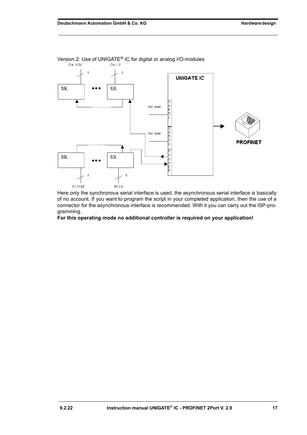

Version 2: Use of UNIGATE<sup>®</sup> IC for digital or analog I/O-modules<br>
<sub>Out N-M</sub> out N-M

Here only the synchronous serial interface is used, the asynchronous serial interface is basically of no account. If you want to program the script in your completed application, then the use of a connector for the asynchronous interface is recommended. With it you can carry out the ISP-programming.

**For this operating mode no additional controller is required on your application!**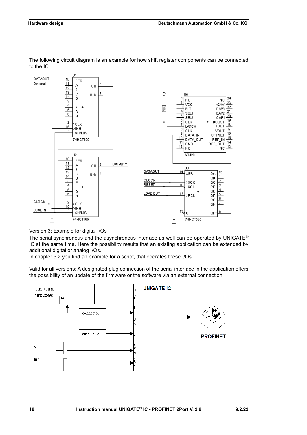

The following circuit diagram is an example for how shift register components can be connected to the IC.

Version 3: Example for digital I/Os

The serial synchronous and the asynchronous interface as well can be operated by UNIGATE<sup>®</sup> IC at the same time. Here the possibility results that an existing application can be extended by additional digital or analog I/Os.

In chapter 5.2 you find an example for a script, that operates these I/Os.

Valid for all versions: A designated plug connection of the serial interface in the application offers the possibility of an update of the firmware or the software via an external connection.

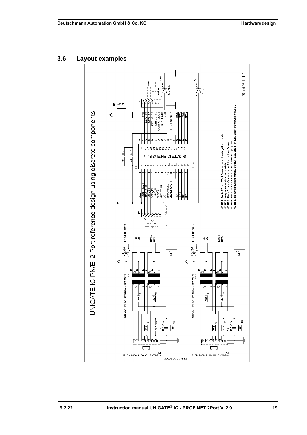#### Stand 07.11.11) ã, **AND**<br>The Emp ၃၃ p. wires as short as possible.<br>C2 and C4 close to the UNIGATE supply pins.<br>commended to place the Bus State and Error LED close to the bus connector. UNIGATE IC-PN/EI 2 Port reference design using discrete components LED-LINKACT2 회회회회 NOTE 1: Route RD and TD differential pairs dose together / parallel<br>NOTE 2: Place C2 and C4 close to the Ethienel transformer.<br>NOTE 3: Place C2 and C4 close to the Ethienel transformer.<br>NOTE 5: It is recommended to place t ă, **ទគ្គនិន្ទនិង**និងប្អូន មាន មាន  $\frac{C5}{4}$   $\frac{22nE}{2}$ 학<br>인구 UNIGATE IC-PN/EI (2 Port) Ş,  $\underline{\Theta} = \underline{\Theta} \stackrel{\bullet}{\Omega} \stackrel{\bullet}{\pi} \stackrel{\bullet}{\pi} \stackrel{\bullet}{\omega} \stackrel{\bullet}{\omega}$ TILLO THE THE TERM CONTENTS 晶晶 쵸 ă LED-LINKACT2 LED-LINKACT1 RD2+<br>RD2-首首  $\frac{1}{10}$  $\sum_{i=1}^{n}$  $\frac{\sqrt{84}}{1}$  $\frac{1}{2}$ WE-LAN\_10/100\_BASETX\_749010014 WE-LAN\_10/100\_BASETX\_749010014 TR<sub>2</sub> ΤŘΊ  $\frac{\alpha}{2}$  $75R$ 阁 **FBR** 75R  $\frac{1}{15R}$ R6  $\frac{c_3}{\text{10nF/MM}}$  $\overline{\mathbb{R}^2}$  $\frac{1}{10R}$  $\frac{C1}{10}$  $\frac{1}{10R}$ R7  $\frac{1}{15R}$ )<br>이 부 **HAHAHAH** <del>ן גון גון גון גון ג</del> ٦Н ٣ 57 P1<br>WE-RJ45\_10/100\_615008140121 P2<br>WE-RJ45\_10/100\_615008140121 pne couuector

### <span id="page-18-0"></span>**3.6 Layout examples**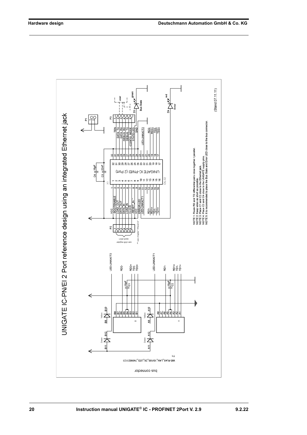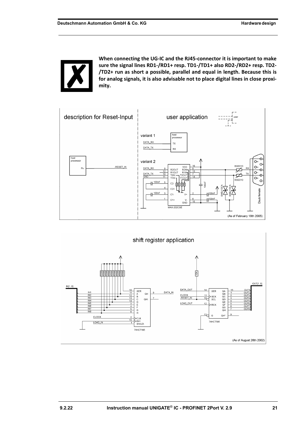

**When connecting the UG-IC and the RJ45-connector it is important to make sure the signal lines RD1-/RD1+ resp. TD1-/TD1+ also RD2-/RD2+ resp. TD2- /TD2+ run as short a possible, parallel and equal in length. Because this is for analog signals, it is also advisable not to place digital lines in close proximity.**



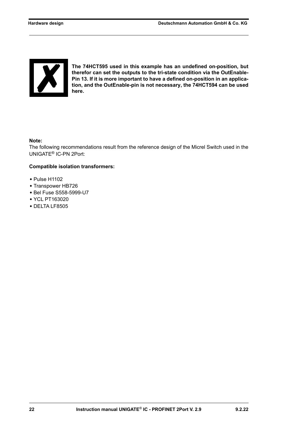

**The 74HCT595 used in this example has an undefined on-position, but therefor can set the outputs to the tri-state condition via the OutEnable-Pin 13. If it is more important to have a defined on-position in an application, and the OutEnable-pin is not necessary, the 74HCT594 can be used here.**

#### **Note:**

The following recommendations result from the reference design of the Micrel Switch used in the UNIGATE® IC-PN 2Port:

#### **Compatible isolation transformers:**

- **•** Pulse H1102
- **•** Transpower HB726
- **•** Bel Fuse S558-5999-U7
- **•** YCL PT163020
- **•** DELTA LF8505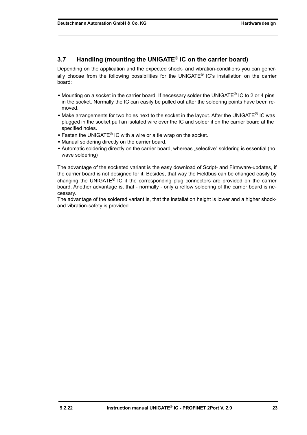# <span id="page-22-0"></span>**3.7 Handling (mounting the UNIGATE® IC on the carrier board)**

Depending on the application and the expected shock- and vibration-conditions you can generally choose from the following possibilities for the UNIGATE® IC's installation on the carrier board:

- **•** Mounting on a socket in the carrier board. If necessary solder the UNIGATE® IC to 2 or 4 pins in the socket. Normally the IC can easily be pulled out after the soldering points have been removed.
- Make arrangements for two holes next to the socket in the layout. After the UNIGATE<sup>®</sup> IC was plugged in the socket pull an isolated wire over the IC and solder it on the carrier board at the specified holes.
- **•** Fasten the UNIGATE® IC with a wire or a tie wrap on the socket.
- **•** Manual soldering directly on the carrier board.
- Automatic soldering directly on the carrier board, whereas "selective" soldering is essential (no wave soldering)

The advantage of the socketed variant is the easy download of Script- and Firmware-updates, if the carrier board is not designed for it. Besides, that way the Fieldbus can be changed easily by changing the UNIGATE® IC if the corresponding plug connectors are provided on the carrier board. Another advantage is, that - normally - only a reflow soldering of the carrier board is necessary.

The advantage of the soldered variant is, that the installation height is lower and a higher shockand vibration-safety is provided.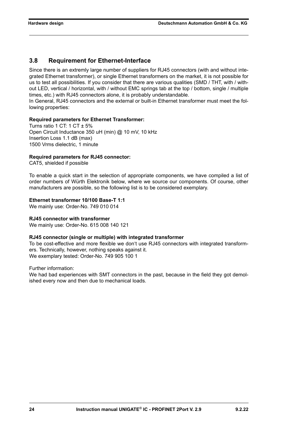### <span id="page-23-0"></span>**3.8 Requirement for Ethernet-Interface**

Since there is an extremly large number of suppliers for RJ45 connectors (with and without integrated Ethernet transformer), or single Ethernet transformers on the market, it is not possible for us to test all possibilities. If you consider that there are various qualities (SMD / THT, with / without LED, vertical / horizontal, with / without EMC springs tab at the top / bottom, single / multiple times, etc.) with RJ45 connectors alone, it is probably understandable.

In General, RJ45 connectors and the external or built-in Ethernet transformer must meet the following properties:

#### **Required parameters for Ethernet Transformer:**

Turns ratio 1 CT: 1 CT  $\pm$  5% Open Circuit Inductance 350 uH (min) @ 10 mV, 10 kHz Insertion Loss 1.1 dB (max) 1500 Vrms dielectric, 1 minute

#### **Required parameters for RJ45 connector:**

CAT5, shielded if possible

To enable a quick start in the selection of appropriate components, we have compiled a list of order numbers of Würth Elektronik below, where we source our components. Of course, other manufacturers are possible, so the following list is to be considered exemplary.

### **Ethernet transformer 10/100 Base-T 1:1**

We mainly use: Order-No. 749 010 014

#### **RJ45 connector with transformer**

We mainly use: Order-No. 615 008 140 121

#### **RJ45 connector (single or multiple) with integrated transformer**

To be cost-effective and more flexible we don't use RJ45 connectors with integrated transformers. Technically, however, nothing speaks against it. We exemplary tested: Order-No. 749 905 100 1

Further information:

We had bad experiences with SMT connectors in the past, because in the field they got demolished every now and then due to mechanical loads.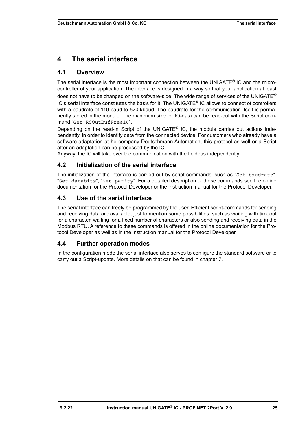# <span id="page-24-0"></span>**4 The serial interface**

# <span id="page-24-1"></span>**4.1 Overview**

The serial interface is the most important connection between the UNIGATE® IC and the microcontroller of your application. The interface is designed in a way so that your application at least does not have to be changed on the software-side. The wide range of services of the UNIGATE $^{\circledR}$ IC's serial interface constitutes the basis for it. The UNIGATE® IC allows to connect of controllers with a baudrate of 110 baud to 520 kbaud. The baudrate for the communication itself is permanently stored in the module. The maximum size for IO-data can be read-out with the Script command "Get RSOutBufFree16".

Depending on the read-in Script of the UNIGATE® IC, the module carries out actions independently, in order to identify data from the connected device. For customers who already have a software-adaptation at he company Deutschmann Automation, this protocol as well or a Script after an adaptation can be processed by the IC.

Anyway, the IC will take over the communication with the fieldbus independently.

# <span id="page-24-2"></span>**4.2 Initialization of the serial interface**

The initialization of the interface is carried out by script-commands, such as "Set baudrate", "Set databits", "Set parity". For a detailed description of these commands see the online documentation for the Protocol Developer or the instruction manual for the Protocol Developer.

# <span id="page-24-3"></span>**4.3 Use of the serial interface**

The serial interface can freely be programmed by the user. Efficient script-commands for sending and receiving data are available; just to mention some possibilities: such as waiting with timeout for a character, waiting for a fixed number of characters or also sending and receiving data in the Modbus RTU. A reference to these commands is offered in the online documentation for the Protocol Developer as well as in the instruction manual for the Protocol Developer.

# <span id="page-24-4"></span>**4.4 Further operation modes**

In the configuration mode the serial interface also serves to configure the standard software or to carry out a Script-update. More details on that can be found in [chapter 7.](#page-28-0)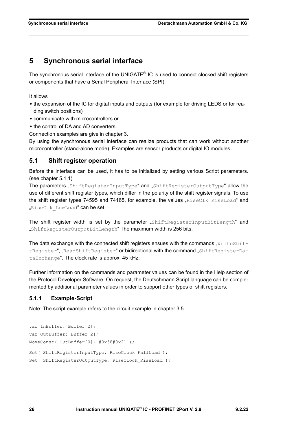# <span id="page-25-0"></span>**5 Synchronous serial interface**

The synchronous serial interface of the UNIGATE® IC is used to connect clocked shift registers or components that have a Serial Peripheral Interface (SPI).

It allows

- **•** the expansion of the IC for digital inputs and outputs (for example for driving LEDS or for reading switch positions)
- **•** communicate with microcontrollers or
- **•** the control of DA and AD converters.

Connection examples are give in [chapter 3](#page-11-0).

By using the synchronous serial interface can realize products that can work without another microcontroller (stand-alone mode). Examples are sensor products or digital IO modules

### <span id="page-25-1"></span>**5.1 Shift register operation**

Before the interface can be used, it has to be initialized by setting various Script parameters. (see [chapter 5.1.1](#page-25-2))

The parameters "ShiftRegisterInputType" and "ShiftRegisterOutputType" allow the use of different shift register types, which differ in the polarity of the shift register signals. To use the shift register types 74595 and 74165, for example, the values " $RiseClk$   $RiseLoad"$  and "RiseClk LowLoad" can be set.

The shift register width is set by the parameter "ShiftRegisterInputBitLength" and "ShiftRegisterOutputBitLength" The maximum width is 256 bits.

The data exchange with the connected shift registers ensues with the commands " $WriteShift$ tRegister", "ReadShiftRegister" or bidirectional with the command "ShiftRegisterDataExchange". The clock rate is approx. 45 kHz.

Further information on the commands and parameter values can be found in the Help section of the Protocol Developer Software. On request, the Deutschmann Script language can be complemented by additional parameter values in order to support other types of shift registers.

### <span id="page-25-2"></span>**5.1.1 Example-Script**

Note: The script example refers to the circuit example in [chapter 3.5](#page-15-0).

```
var InBuffer: Buffer[2];
var OutBuffer: Buffer[2];
MoveConst( OutBuffer[0], #0x58#0x21 );
Set( ShiftRegisterInputType, RiseClock FallLoad );
Set( ShiftRegisterOutputType, RiseClock RiseLoad );
```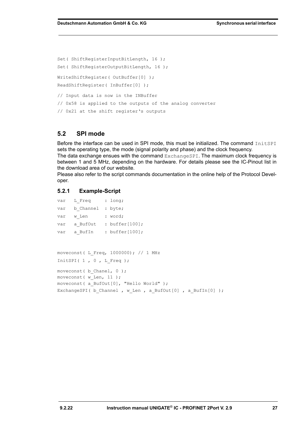Set( ShiftRegisterInputBitLength, 16 ); Set( ShiftRegisterOutputBitLength, 16 ); WriteShiftRegister( OutBuffer[0] ); ReadShiftRegister( InBuffer[0] ); // Input data is now in the INBuffer // 0x58 is applied to the outputs of the analog converter // 0x21 at the shift register's outputs

### <span id="page-26-0"></span>**5.2 SPI mode**

Before the interface can be used in SPI mode, this must be initialized. The command InitSPI sets the operating type, the mode (signal polarity and phase) and the clock frequency.

The data exchange ensues with the command ExchangeSPI. The maximum clock frequency is between 1 and 5 MHz, depending on the hardware. For details please see the IC-Pinout list in the download area of our website.

Please also refer to the script commands documentation in the online help of the Protocol Developer.

### <span id="page-26-1"></span>**5.2.1 Example-Script**

```
var L_Freq : long;
var b Channel : byte;
var w Len : word;
var a BufOut : buffer[100];
var a BufIn : buffer[100];
moveconst( L_Freq, 1000000); // 1 MHz
InitSPI( 1, 0, L Freq );
moveconst ( b Chanel, 0 );
moveconst (w Len, 11 );
moveconst( a_BufOut[0], "Hello World" ); 
ExchangeSPI( b_Channel , w_Len , a_BufOut[0] , a_BufIn[0] );
```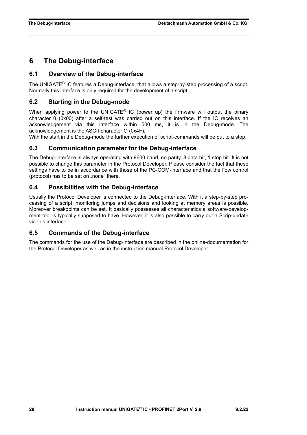# <span id="page-27-0"></span>**6 The Debug-interface**

### <span id="page-27-1"></span>**6.1 Overview of the Debug-interface**

The UNIGATE® IC features a Debug-interface, that allows a step-by-step processing of a script. Normally this interface is only required for the development of a script.

### <span id="page-27-2"></span>**6.2 Starting in the Debug-mode**

When applying power to the UNIGATE<sup>®</sup> IC (power up) the firmware will output the binary character 0 (0x00) after a self-test was carried out on this interface. If the IC receives an acknowledgement via this interface within 500 ms, it is in the Debug-mode. The acknowledgement is the ASCII-character O (0x4F).

With the start in the Debug-mode the further execution of script-commands will be put to a stop.

### <span id="page-27-3"></span>**6.3 Communication parameter for the Debug-interface**

The Debug-interface is always operating with 9600 baud, no parity, 8 data bit, 1 stop bit. It is not possible to change this parameter in the Protocol Developer. Please consider the fact that these settings have to be in accordance with those of the PC-COM-interface and that the flow control (protocol) has to be set on "none" there.

### <span id="page-27-4"></span>**6.4 Possibilities with the Debug-interface**

Usually the Protocol Developer is connected to the Debug-interface. With it a step-by-step processing of a script, monitoring jumps and decisions and looking at memory areas is possible. Moreover breakpoints can be set. It basically possesses all characteristics a software-development tool is typically supposed to have. However, it is also possible to carry out a Scrip-update via this interface.

### <span id="page-27-5"></span>**6.5 Commands of the Debug-interface**

The commands for the use of the Debug-interface are described in the online-documentation for the Protocol Developer as well as in the instruction manual Protocol Developer.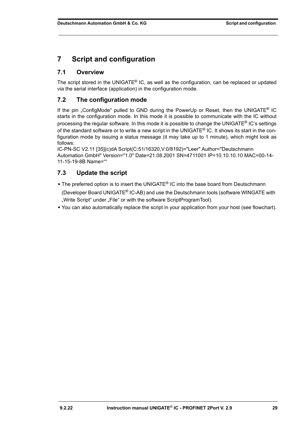# <span id="page-28-0"></span>**7 Script and configuration**

# <span id="page-28-1"></span>**7.1 Overview**

The script stored in the UNIGATE® IC, as well as the configuration, can be replaced or updated via the serial interface (application) in the configuration mode.

# <span id="page-28-2"></span>**7.2 The configuration mode**

If the pin . ConfigMode" pulled to GND during the PowerUp or Reset, then the UNIGATE<sup>®</sup> IC starts in the configuration mode. In this mode it is possible to communicate with the IC without processing the regular software. In this mode it is possible to change the UNIGATE® IC's settings of the standard software or to write a new script in the UNIGATE<sup>®</sup> IC. It shows its start in the configuration mode by issuing a status message (it may take up to 1 minute), which might look as follows:

IC-PN-SC V2.11 [35](c)dA Script(C:51/16320,V:0/8192)="Leer" Author="Deutschmann Automation GmbH" Version="1.0" Date=21.08.2001 SN=4711001 IP=10.10.10.10 MAC=00-14- 11-15-19-8B Name=""

# <span id="page-28-3"></span>**7.3 Update the script**

- **•** The preferred option is to insert the UNIGATE® IC into the base board from Deutschmann (Developer Board UNIGATE® IC-AB) and use the Deutschmann tools (software WINGATE with
	- "Write Script" under "File" or with the software ScriptProgramTool).
- **•** You can also automatically replace the script in your application from your host (see flowchart).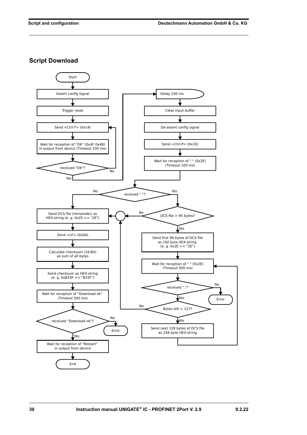**Script Download**

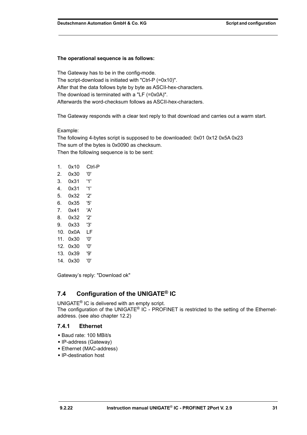#### **The operational sequence is as follows:**

The Gateway has to be in the config-mode. The script-download is initiated with "Ctrl-P (=0x10)". After that the data follows byte by byte as ASCII-hex-characters. The download is terminated with a "LF (=0x0A)". Afterwards the word-checksum follows as ASCII-hex-characters.

The Gateway responds with a clear text reply to that download and carries out a warm start.

#### Example:

The following 4-bytes script is supposed to be downloaded: 0x01 0x12 0x5A 0x23 The sum of the bytes is 0x0090 as checksum. Then the following sequence is to be sent:

| 1.  | 0x10 | Ctrl-P |
|-----|------|--------|
| 2.  | 0x30 | '0'    |
| 3.  | 0x31 | '1'    |
| 4.  | 0x31 | '1'    |
| 5.  | 0x32 | '2'    |
| 6.  | 0x35 | '5'    |
| 7.  | 0x41 | 'Α'    |
| 8.  | 0x32 | '2'    |
| 9.  | 0x33 | '3'    |
| 10. | 0x0A | LF     |
| 11. | 0x30 | '0'    |
| 12. | 0x30 | '0'    |
| 13. | 0x39 | פי'    |
| 14. | 0x30 | '0'    |

Gateway's reply: "Download ok"

# <span id="page-30-0"></span>**7.4 Configuration of the UNIGATE® IC**

UNIGATE® IC is delivered with an empty script. The configuration of the UNIGATE® IC - PROFINET is restricted to the setting of the Ethernetaddress. (see also [chapter 12.2](#page-38-2))

#### <span id="page-30-1"></span>**7.4.1 Ethernet**

- **•** Baud rate: 100 MBit/s
- **•** IP-address (Gateway)
- **•** Ethernet (MAC-address)
- **•** IP-destination host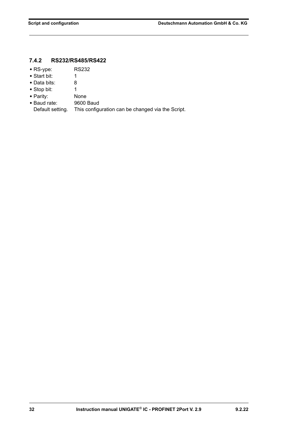# <span id="page-31-0"></span>**7.4.2 RS232/RS485/RS422**

- **•** RS-ype: RS232
- **•** Start bit: 1
- **•** Data bits: 8
- Stop bit: 1
- 
- **•** Parity: None • Baud rate:
- Default setting. This configuration can be changed via the Script.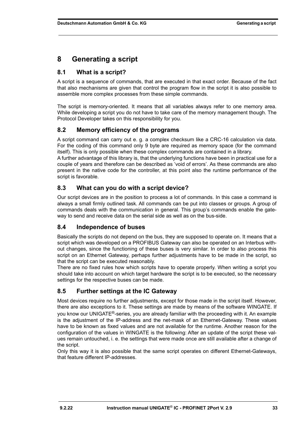# <span id="page-32-0"></span>**8 Generating a script**

# <span id="page-32-1"></span>**8.1 What is a script?**

A script is a sequence of commands, that are executed in that exact order. Because of the fact that also mechanisms are given that control the program flow in the script it is also possible to assemble more complex processes from these simple commands.

The script is memory-oriented. It means that all variables always refer to one memory area. While developing a script you do not have to take care of the memory management though. The Protocol Developer takes on this responsibility for you.

# <span id="page-32-2"></span>**8.2 Memory efficiency of the programs**

A script command can carry out e. g. a complex checksum like a CRC-16 calculation via data. For the coding of this command only 9 byte are required as memory space (for the command itself). This is only possible when these complex commands are contained in a library.

A further advantage of this library is, that the underlying functions have been in practical use for a couple of years and therefore can be described as 'void of errors'. As these commands are also present in the native code for the controller, at this point also the runtime performance of the script is favorable.

# <span id="page-32-3"></span>**8.3 What can you do with a script device?**

Our script devices are in the position to process a lot of commands. In this case a command is always a small firmly outlined task. All commands can be put into classes or groups. A group of commands deals with the communication in general. This group's commands enable the gateway to send and receive data on the serial side as well as on the bus-side.

# <span id="page-32-4"></span>**8.4 Independence of buses**

Basically the scripts do not depend on the bus, they are supposed to operate on. It means that a script which was developed on a PROFIBUS Gateway can also be operated on an Interbus without changes, since the functioning of these buses is very similar. In order to also process this script on an Ethernet Gateway, perhaps further adjustments have to be made in the script, so that the script can be executed reasonably.

There are no fixed rules how which scripts have to operate properly. When writing a script you should take into account on which target hardware the script is to be executed, so the necessary settings for the respective buses can be made.

# <span id="page-32-5"></span>**8.5 Further settings at the IC Gateway**

Most devices require no further adjustments, except for those made in the script itself. However, there are also exceptions to it. These settings are made by means of the software WINGATE. If you know our UNIGATE<sup>®</sup>-series, you are already familiar with the proceeding with it. An example is the adjustment of the IP-address and the net-mask of an Ethernet-Gateway. These values have to be known as fixed values and are not available for the runtime. Another reason for the configuration of the values in WINGATE is the following: After an update of the script these values remain untouched, i. e. the settings that were made once are still available after a change of the script.

Only this way it is also possible that the same script operates on different Ethernet-Gateways, that feature different IP-addresses.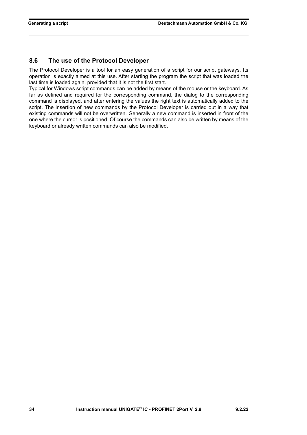# <span id="page-33-0"></span>**8.6 The use of the Protocol Developer**

The Protocol Developer is a tool for an easy generation of a script for our script gateways. Its operation is exactly aimed at this use. After starting the program the script that was loaded the last time is loaded again, provided that it is not the first start.

Typical for Windows script commands can be added by means of the mouse or the keyboard. As far as defined and required for the corresponding command, the dialog to the corresponding command is displayed, and after entering the values the right text is automatically added to the script. The insertion of new commands by the Protocol Developer is carried out in a way that existing commands will not be overwritten. Generally a new command is inserted in front of the one where the cursor is positioned. Of course the commands can also be written by means of the keyboard or already written commands can also be modified.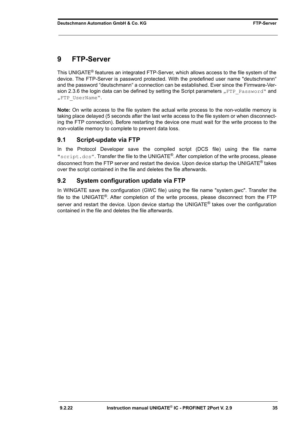# <span id="page-34-0"></span>**9 FTP-Server**

This UNIGATE® features an integrated FTP-Server, which allows access to the file system of the device. The FTP-Server is password protected. With the predefined user name "deutschmann" and the password "deutschmann" a connection can be established. Ever since the Firmware-Version 2.3.6 the login data can be defined by setting the Script parameters  $n$  FTP Password" and "FTP UserName".

**Note:** On write access to the file system the actual write process to the non-volatile memory is taking place delayed (5 seconds after the last write access to the file system or when disconnecting the FTP connection). Before restarting the device one must wait for the write process to the non-volatile memory to complete to prevent data loss.

# <span id="page-34-1"></span>**9.1 Script-update via FTP**

In the Protocol Developer save the compiled script (DCS file) using the file name "script.dcs". Transfer the file to the UNIGATE®. After completion of the write process, please disconnect from the FTP server and restart the device. Upon device startup the UNIGATE® takes over the script contained in the file and deletes the file afterwards.

# <span id="page-34-2"></span>**9.2 System configuration update via FTP**

In WINGATE save the configuration (GWC file) using the file name "system.gwc". Transfer the file to the UNIGATE<sup>®</sup>. After completion of the write process, please disconnect from the FTP server and restart the device. Upon device startup the UNIGATE<sup>®</sup> takes over the configuration contained in the file and deletes the file afterwards.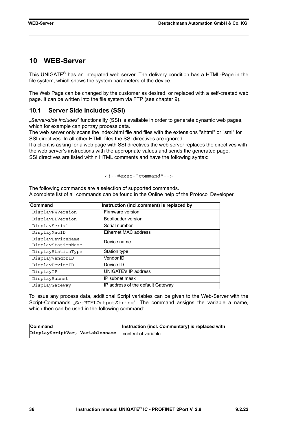# <span id="page-35-0"></span>**10 WEB-Server**

This UNIGATE® has an integrated web server. The delivery condition has a HTML-Page in the file system, which shows the system parameters of the device.

The Web Page can be changed by the customer as desired, or replaced with a self-created web page. It can be written into the file system via FTP (see [chapter 9](#page-34-0)).

### <span id="page-35-1"></span>**10.1 Server Side Includes (SSI)**

"*Server-side includes*" functionality (SSI) is available in order to generate dynamic web pages, which for example can portray process data.

The web server only scans the index.html file and files with the extensions "shtml" or "sml" for SSI directives. In all other HTML files the SSI directives are ignored.

If a client is asking for a web page with SSI directives the web server replaces the directives with the web server's instructions with the appropriate values and sends the generated page. SSI directives are listed within HTML comments and have the following syntax:

```
<!--#exec="command"-->
```
The following commands are a selection of supported commands. A complete list of all commands can be found in the Online help of the Protocol Developer.

| Command            | Instruction (incl.comment) is replaced by |
|--------------------|-------------------------------------------|
| DisplayFWVersion   | Firmware version                          |
| DisplayBLVersion   | Bootloader version                        |
| DisplaySerial      | Serial number                             |
| DisplayMacID       | <b>Ethernet MAC address</b>               |
| DisplayDeviceName  | Device name                               |
| DisplayStationName |                                           |
| DisplayStationType | Station type                              |
| DisplayVendorID    | Vendor ID                                 |
| DisplayDeviceID    | Device ID                                 |
| DisplayIP          | <b>UNIGATE's IP address</b>               |
| DisplaySubnet      | IP subnet mask                            |
| DisplayGateway     | IP address of the default Gateway         |

To issue any process data, additional Script variables can be given to the Web-Server with the Script-Commands "SetHTMLOutputString". The command assigns the variable a name, which then can be used in the following command:

| <b>Command</b>                                        | Instruction (incl. Commentary) is replaced with |
|-------------------------------------------------------|-------------------------------------------------|
| DisplayScriptVar, Variablenname   content of variable |                                                 |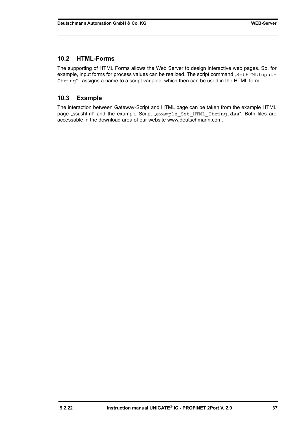### <span id="page-36-0"></span>**10.2 HTML-Forms**

The supporting of HTML Forms allows the Web Server to design interactive web pages. So, for example, input forms for process values can be realized. The script command "SetHTMLInput-String" assigns a name to a script variable, which then can be used in the HTML form.

### <span id="page-36-1"></span>**10.3 Example**

The interaction between Gateway-Script and HTML page can be taken from the example HTML page "ssi.shtml" and the example Script "example Set HTML String.dss". Both files are accessable in the download area of our website www.deutschmann.com.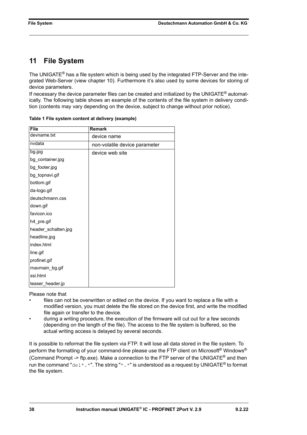# <span id="page-37-0"></span>**11 File System**

The UNIGATE<sup>®</sup> has a file system which is being used by the integrated FTP-Server and the integrated Web-Server (view [chapter 10](#page-35-0)). Furthermore it's also used by some devices for storing of device parameters.

If necessary the device parameter files can be created and initialized by the UNIGATE<sup>®</sup> automatically. The following table shows an example of the contents of the file system in delivery condition (contents may vary depending on the device, subject to change without prior notice).

| <b>File</b>         | Remark                        |
|---------------------|-------------------------------|
| devname.txt         | device name                   |
| nvdata              | non-volatile device parameter |
| bg.jpg              | device web site               |
| bg_container.jpg    |                               |
| bg_footer.jpg       |                               |
| bg_topnavi.gif      |                               |
| bottom.gif          |                               |
| da-logo.gif         |                               |
| deutschmann.css     |                               |
| down.gif            |                               |
| favicon.ico         |                               |
| h4_pre.gif          |                               |
| header_schatten.jpg |                               |
| headline.jpg        |                               |
| index.html          |                               |
| line.gif            |                               |
| profinet.gif        |                               |
| rnavmain_bg.gif     |                               |
| ssi.html            |                               |
| teaser header.jp    |                               |

**Table 1 File system content at delivery (example)**

Please note that

- files can not be overwritten or edited on the device. If you want to replace a file with a modified version, you must delete the file stored on the device first, and write the modified file again or transfer to the device.
- during a writing procedure, the execution of the firmware will cut out for a few seconds (depending on the length of the file). The access to the file system is buffered, so the actual writing access is delayed by several seconds.

It is possible to reformat the file system via FTP. It will lose all data stored in the file system. To perform the formatting of your command-line please use the FTP client on Microsoft<sup>®</sup> Windows<sup>®</sup> (Command Prompt -> ftp.exe). Make a connection to the FTP server of the UNIGATE<sup>®</sup> and then run the command "del\*.\*". The string "\*.\*" is understood as a request by UNIGATE<sup>®</sup> to format the file system.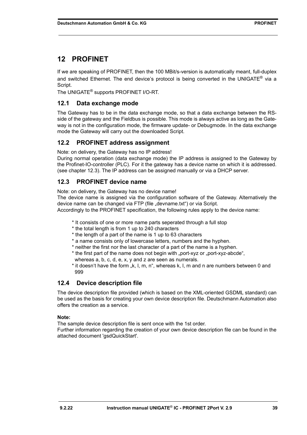# <span id="page-38-0"></span>**12 PROFINET**

If we are speaking of PROFINET, then the 100 MBit/s-version is automatically meant, full-duplex and switched Ethernet. The end device's protocol is being converted in the UNIGATE<sup>®</sup> via a Script.

The UNIGATE® supports PROFINET I/O-RT.

# <span id="page-38-1"></span>**12.1 Data exchange mode**

The Gateway has to be in the data exchange mode, so that a data exchange between the RSside of the gateway and the Fieldbus is possible. This mode is always active as long as the Gateway is not in the configuration mode, the firmware update- or Debugmode. In the data exchange mode the Gateway will carry out the downloaded Script.

# <span id="page-38-2"></span>**12.2 PROFINET address assignment**

Note: on delivery, the Gateway has no IP address!

During normal operation (data exchange mode) the IP address is assigned to the Gateway by the Profinet-IO-controller (PLC). For it the gateway has a device name on which it is addressed. (see [chapter 12.3](#page-38-3)). The IP address can be assigned manually or via a DHCP server.

# <span id="page-38-3"></span>**12.3 PROFINET device name**

Note: on delivery, the Gateway has no device name!

The device name is assigned via the configuration software of the Gateway. Alternatively the device name can be changed via FTP (file "devname.txt") or via Script.

Accordingly to the PROFINET specification, the following rules apply to the device name:

- \* It consists of one or more name parts seperated through a full stop
- \* the total length is from 1 up to 240 characters
- \* the length of a part of the name is 1 up to 63 characters
- \* a name consists only of lowercase letters, numbers and the hyphen.
- \* neither the first nor the last character of a part of the name is a hyphen.
- \* the first part of the name does not begin with "port-xyz or "port-xyz-abcde", whereas a, b, c, d, e, x, y and z are seen as numerals.
- \* it doesn't have the form "k, l, m, n", whereas k, l, m and n are numbers between 0 and 999

# <span id="page-38-4"></span>**12.4 Device description file**

The device description file provided (which is based on the XML-oriented GSDML standard) can be used as the basis for creating your own device description file. Deutschmann Automation also offers the creation as a service.

#### **Note:**

The sample device description file is sent once with the 1st order.

Further information regarding the creation of your own device description file can be found in the attached document 'gsdQuickStart'.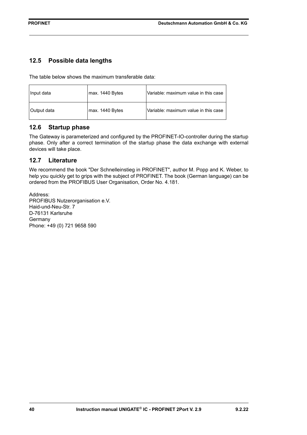# <span id="page-39-0"></span>**12.5 Possible data lengths**

The table below shows the maximum transferable data:

| Input data  | max. 1440 Bytes | Variable: maximum value in this case |
|-------------|-----------------|--------------------------------------|
| Output data | max. 1440 Bytes | Variable: maximum value in this case |

### <span id="page-39-1"></span>**12.6 Startup phase**

The Gateway is parameterized and configured by the PROFINET-IO-controller during the startup phase. Only after a correct termination of the startup phase the data exchange with external devices will take place.

### <span id="page-39-2"></span>**12.7 Literature**

We recommend the book "Der Schnelleinstieg in PROFINET", author M. Popp and K. Weber, to help you quickly get to grips with the subject of PROFINET. The book (German language) can be ordered from the PROFIBUS User Organisation, Order No. 4.181.

Address: PROFIBUS Nutzerorganisation e.V. Haid-und-Neu-Str. 7 D-76131 Karlsruhe **Germany** Phone: +49 (0) 721 9658 590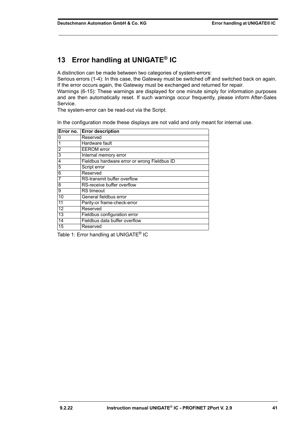# <span id="page-40-0"></span>**13 Error handling at UNIGATE® IC**

A distinction can be made between two categories of system-errors:

Serious errors (1-4): In this case, the Gateway must be switched off and switched back on again. If the error occurs again, the Gateway must be exchanged and returned for repair. Warnings (6-15): These warnings are displayed for one minute simply for information purposes and are then automatically reset. If such warnings occur frequently, please inform After-Sales Service.

The system-error can be read-out via the Script.

In the configuration mode these displays are not valid and only meant for internal use.

|                | Error no. Error description                  |
|----------------|----------------------------------------------|
| 0              | Reserved                                     |
|                | Hardware fault                               |
| $\overline{2}$ | <b>EEROM</b> error                           |
| 3              | <b>Internal memory error</b>                 |
| 4              | Fieldbus hardware error or wrong Fieldbus ID |
| 5              | Script error                                 |
| 6              | Reserved                                     |
| 7              | RS-transmit buffer overflow                  |
| 8              | RS-receive buffer overflow                   |
| 9              | <b>RS</b> timeout                            |
| 10             | General fieldbus error                       |
| 11             | Parity-or frame-check-error                  |
| 12             | Reserved                                     |
| 13             | Fieldbus configuration error                 |
| 14             | Fieldbus data buffer overflow                |
| 15             | Reserved                                     |

Table 1: Error handling at UNIGATE<sup>®</sup> IC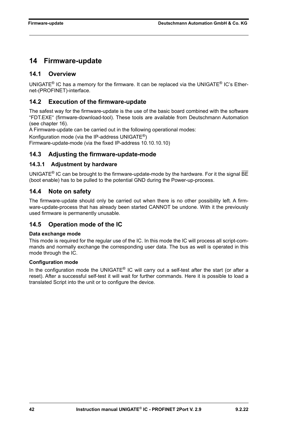# <span id="page-41-0"></span>**14 Firmware-update**

# <span id="page-41-1"></span>**14.1 Overview**

UNIGATE® IC has a memory for the firmware. It can be replaced via the UNIGATE® IC's Ethernet-(PROFINET)-interface.

# <span id="page-41-2"></span>**14.2 Execution of the firmware-update**

The safest way for the firmware-update is the use of the basic board combined with the software "FDT.EXE" (firmware-download-tool). These tools are available from Deutschmann Automation (see [chapter 16](#page-45-0)).

A Firmware-update can be carried out in the following operational modes:

Konfiguration mode (via the IP-address UNIGATE®)

Firmware-update-mode (via the fixed IP-address 10.10.10.10)

# <span id="page-41-3"></span>**14.3 Adjusting the firmware-update-mode**

### <span id="page-41-4"></span>**14.3.1 Adjustment by hardware**

UNIGATE<sup>®</sup> IC can be brought to the firmware-update-mode by the hardware. For it the signal BE (boot enable) has to be pulled to the potential GND during the Power-up-process.

# <span id="page-41-5"></span>**14.4 Note on safety**

The firmware-update should only be carried out when there is no other possibility left. A firmware-update-process that has already been started CANNOT be undone. With it the previously used firmware is permanently unusable.

# <span id="page-41-6"></span>**14.5 Operation mode of the IC**

### **Data exchange mode**

This mode is required for the regular use of the IC. In this mode the IC will process all script-commands and normally exchange the corresponding user data. The bus as well is operated in this mode through the IC.

### **Configuration mode**

In the configuration mode the UNIGATE® IC will carry out a self-test after the start (or after a reset). After a successful self-test it will wait for further commands. Here it is possible to load a translated Script into the unit or to configure the device.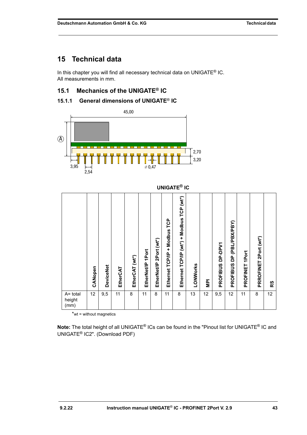# <span id="page-42-0"></span>**15 Technical data**

In this chapter you will find all necessary technical data on UNIGATE<sup>®</sup> IC. All measurements in mm.

# <span id="page-42-1"></span>**15.1 Mechanics of the UNIGATE® IC**

# <span id="page-42-2"></span>**15.1.1 General dimensions of UNIGATE**® **IC**



|                               |         |                  |          |                |                      |                            |                                    | <b>UNIGATE<sup>®</sup> IC</b>            |          |                |                            |                                       |                |                       |    |
|-------------------------------|---------|------------------|----------|----------------|----------------------|----------------------------|------------------------------------|------------------------------------------|----------|----------------|----------------------------|---------------------------------------|----------------|-----------------------|----|
|                               | CANopen | <b>DeviceNet</b> | EtherCAT | EtherCAT (wt*) | 1Port<br>EtherNet/IP | 2Port (wt*)<br>EtherNet/IP | TCP<br>+ Modbus<br>Ethernet TCP/IP | Ethernet TCP/IP (wt*) + Modbus TCP (wt*) | LONWorks | $\overline{P}$ | DP-DPV1<br><b>PROFIBUS</b> | (PBL/PBX/PBY)<br>å<br><b>PROFIBUS</b> | PROFINET 1Port | PRROFINET 2Port (wt*) | RS |
| $A = total$<br>height<br>(mm) | 12      | 9,5              | 11       | 8              | 11                   | 8                          | 11                                 | 8                                        | 13       | 12             | 9,5                        | 12                                    | 11             | 8                     | 12 |

\*wt = without magnetics

**Note:** The total height of all UNIGATE® ICs can be found in the "Pinout list for UNIGATE® IC and UNIGATE[® IC2". \(Download PDF\)](https://www.deutschmann.de/downloads//Support/Unigate-IC/UNIGATE%20IC%20and%20IC2%20device%20family%20pinout.pdf)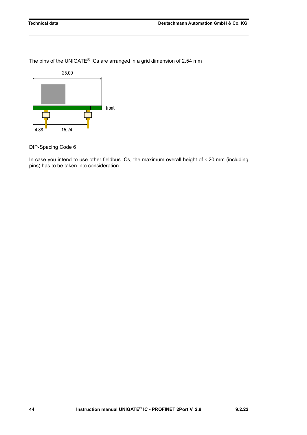The pins of the UNIGATE® ICs are arranged in a grid dimension of 2.54 mm



DIP-Spacing Code 6

In case you intend to use other fieldbus ICs, the maximum overall height of  $\leq$  20 mm (including pins) has to be taken into consideration.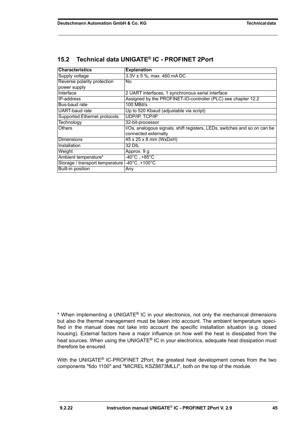| <b>Characteristics</b>                      | <b>Explanation</b>                                                        |  |  |  |
|---------------------------------------------|---------------------------------------------------------------------------|--|--|--|
| Supply voltage                              | $3.3V \pm 5$ %, max. 460 mA DC                                            |  |  |  |
| Reverse polarity protection                 | No.                                                                       |  |  |  |
| power supply                                |                                                                           |  |  |  |
| Interface                                   | 2 UART interfaces, 1 synchronous serial interface                         |  |  |  |
| <b>IP-address</b>                           | Assigned by the PROFINET-IO-controller (PLC) see chapter 12.2             |  |  |  |
| Bus-baud rate                               | 100 MBit/s                                                                |  |  |  |
| UART-baud rate                              | Up to 520 Kbaud (adjustable via script)                                   |  |  |  |
| <b>Supported Ethernet protocols</b>         | <b>UDP/IP. TCP/IP</b>                                                     |  |  |  |
| Technology                                  | 32-bit-processor                                                          |  |  |  |
| <b>Others</b>                               | I/Os, analogous signals, shift registers, LEDs, switches and so on can be |  |  |  |
|                                             | connected externally                                                      |  |  |  |
| <b>Dimensions</b>                           | 45 x 25 x 8 mm (WxDxH)                                                    |  |  |  |
| Installation                                | 32 DIL                                                                    |  |  |  |
| Weight                                      | Approx. 9 g                                                               |  |  |  |
| Ambient temperature*                        | $-40^{\circ}$ C+85 $^{\circ}$ C                                           |  |  |  |
| Storage / transport temperature -40°C+100°C |                                                                           |  |  |  |
| Built-in position                           | Any                                                                       |  |  |  |

# <span id="page-44-0"></span>**15.2 Technical data UNIGATE® IC - PROFINET 2Port**

\* When implementing a UNIGATE® IC in your electronics, not only the mechanical dimensions but also the thermal management must be taken into account. The ambient temperature specified in the manual does not take into account the specific installation situation (e.g. closed housing). External factors have a major influence on how well the heat is dissipated from the heat sources. When using the UNIGATE<sup>®</sup> IC in your electronics, adequate heat dissipation must therefore be ensured.

With the UNIGATE<sup>®</sup> IC-PROFINET 2Port, the greatest heat development comes from the two components "fido 1100" and "MICREL KSZ8873MLLI", both on the top of the module.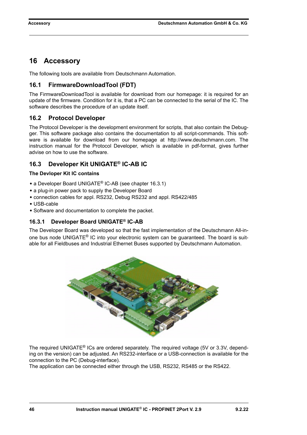# <span id="page-45-0"></span>**16 Accessory**

The following tools are available from Deutschmann Automation.

# <span id="page-45-1"></span>**16.1 FirmwareDownloadTool (FDT)**

The FirmwareDownloadTool is available for download from our homepage: it is required for an update of the firmware. Condition for it is, that a PC can be connected to the serial of the IC. The software describes the procedure of an update itself.

# <span id="page-45-2"></span>**16.2 Protocol Developer**

The Protocol Developer is the development environment for scripts, that also contain the Debug[ger. This software package also contains the documentation to all script-commands. This soft](http://www.deutschmann.com)ware is available for download from our homepage at http://www.deutschmann.com. The instruction manual for the Protocol Developer, which is available in pdf-format, gives further advise on how to use the software.

# <span id="page-45-3"></span>**16.3 Developer Kit UNIGATE® IC-AB IC**

### **The Devloper Kit IC contains**

- **•** a Developer Board UNIGATE® IC-AB (see [chapter 16.3.1\)](#page-45-4)
- **•** a plug-in power pack to supply the Developer Board
- **•** connection cables for appl. RS232, Debug RS232 and appl. RS422/485
- **•** USB-cable
- **•** Software and documentation to complete the packet.

### <span id="page-45-4"></span>**16.3.1 Developer Board UNIGATE® IC-AB**

The Developer Board was developed so that the fast implementation of the Deutschmann All-inone bus node UNIGATE<sup>®</sup> IC into your electronic system can be quaranteed. The board is suitable for all Fieldbuses and Industrial Ethernet Buses supported by Deutschmann Automation.



The required UNIGATE<sup>®</sup> ICs are ordered separately. The required voltage (5V or 3.3V, depending on the version) can be adjusted. An RS232-interface or a USB-connection is available for the connection to the PC (Debug-interface).

The application can be connected either through the USB, RS232, RS485 or the RS422.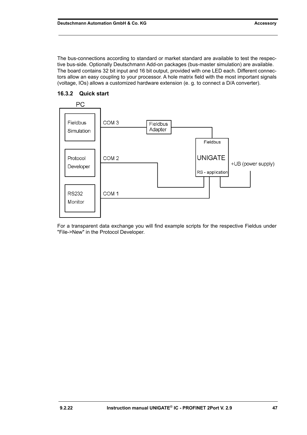The bus-connections according to standard or market standard are available to test the respective bus-side. Optionally Deutschmann Add-on packages (bus-master simulation) are available. The board contains 32 bit input and 16 bit output, provided with one LED each. Different connectors allow an easy coupling to your processor. A hole matrix field with the most important signals (voltage, IOs) allows a customized hardware extension (e. g. to connect a D/A converter).



### <span id="page-46-0"></span>**16.3.2 Quick start**

For a transparent data exchange you will find example scripts for the respective Fieldus under "File->New" in the Protocol Developer.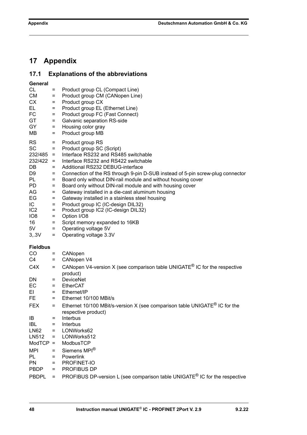# <span id="page-47-0"></span>**17 Appendix**

# <span id="page-47-1"></span>**17.1 Explanations of the abbreviations**

| <b>CL</b><br><b>CM</b><br><b>CX</b><br>EL.<br>FC<br><b>GT</b><br><b>GY</b><br>MВ                                                                                         | Ξ<br>$=$<br>$=$<br>$=$<br>$=$<br>$=$<br>$=$<br>$=$                                             | Product group CL (Compact Line)<br>Product group CM (CANopen Line)<br>Product group CX<br>Product group EL (Ethernet Line)<br>Product group FC (Fast Connect)<br>Galvanic separation RS-side<br>Housing color gray<br>Product group MB                                                                                                                                                                                                                                                                                                                                                                                                                                 |
|--------------------------------------------------------------------------------------------------------------------------------------------------------------------------|------------------------------------------------------------------------------------------------|------------------------------------------------------------------------------------------------------------------------------------------------------------------------------------------------------------------------------------------------------------------------------------------------------------------------------------------------------------------------------------------------------------------------------------------------------------------------------------------------------------------------------------------------------------------------------------------------------------------------------------------------------------------------|
| <b>RS</b><br><b>SC</b><br>$232/485 =$<br>$232/422 =$<br>DB<br>D <sub>9</sub><br>PL<br>PD.<br>AG<br>EG<br>IC.<br>IC <sub>2</sub><br>IO <sub>8</sub><br>16<br>5V<br>3, .3V | $=$<br>$=$<br>$=$<br>$=$<br>$=$<br>$=$<br>$=$<br>$=$<br>$=$<br>$=$<br>$=$<br>$=$<br>$=$<br>$=$ | Product group RS<br>Product group SC (Script)<br>Interface RS232 and RS485 switchable<br>Interface RS232 and RS422 switchable<br>Additional RS232 DEBUG-interface<br>Connection of the RS through 9-pin D-SUB instead of 5-pin screw-plug connector<br>Board only without DIN-rail module and without housing cover<br>Board only without DIN-rail module and with housing cover<br>Gateway installed in a die-cast aluminum housing<br>Gateway installed in a stainless steel housing<br>Product group IC (IC-design DIL32)<br>Product group IC2 (IC-design DIL32)<br>Option I/O8<br>Script memory expanded to 16KB<br>Operating voltage 5V<br>Operating voltage 3.3V |
| <b>Fieldbus</b>                                                                                                                                                          |                                                                                                |                                                                                                                                                                                                                                                                                                                                                                                                                                                                                                                                                                                                                                                                        |
| CO                                                                                                                                                                       | Ξ                                                                                              | CANopen                                                                                                                                                                                                                                                                                                                                                                                                                                                                                                                                                                                                                                                                |
| C4<br>C4X                                                                                                                                                                | $=$<br>$=$                                                                                     | CANopen V4<br>CANopen V4-version X (see comparison table UNIGATE <sup>®</sup> IC for the respective                                                                                                                                                                                                                                                                                                                                                                                                                                                                                                                                                                    |
|                                                                                                                                                                          |                                                                                                | product)                                                                                                                                                                                                                                                                                                                                                                                                                                                                                                                                                                                                                                                               |
| DN                                                                                                                                                                       | $=$                                                                                            | <b>DeviceNet</b>                                                                                                                                                                                                                                                                                                                                                                                                                                                                                                                                                                                                                                                       |
| EC                                                                                                                                                                       | $=$                                                                                            | <b>EtherCAT</b>                                                                                                                                                                                                                                                                                                                                                                                                                                                                                                                                                                                                                                                        |
| EL                                                                                                                                                                       | $=$                                                                                            | Ethernet/IP                                                                                                                                                                                                                                                                                                                                                                                                                                                                                                                                                                                                                                                            |
| FE                                                                                                                                                                       | $=$                                                                                            | Ethernet 10/100 MBit/s                                                                                                                                                                                                                                                                                                                                                                                                                                                                                                                                                                                                                                                 |
| <b>FEX</b>                                                                                                                                                               | $=$                                                                                            | Ethernet 10/100 MBit/s-version X (see comparison table UNIGATE <sup>®</sup> IC for the<br>respective product)                                                                                                                                                                                                                                                                                                                                                                                                                                                                                                                                                          |
| IB                                                                                                                                                                       |                                                                                                | Interbus                                                                                                                                                                                                                                                                                                                                                                                                                                                                                                                                                                                                                                                               |
| <b>IBL</b>                                                                                                                                                               | $=$                                                                                            | Interbus                                                                                                                                                                                                                                                                                                                                                                                                                                                                                                                                                                                                                                                               |
| <b>LN62</b>                                                                                                                                                              | $=$                                                                                            | LONWorks62                                                                                                                                                                                                                                                                                                                                                                                                                                                                                                                                                                                                                                                             |
| LN512                                                                                                                                                                    | $=$                                                                                            | LONWorks512                                                                                                                                                                                                                                                                                                                                                                                                                                                                                                                                                                                                                                                            |
| $ModTCP =$                                                                                                                                                               |                                                                                                | ModbusTCP                                                                                                                                                                                                                                                                                                                                                                                                                                                                                                                                                                                                                                                              |
| <b>MPI</b>                                                                                                                                                               | $=$                                                                                            | Siemens MPI <sup>®</sup>                                                                                                                                                                                                                                                                                                                                                                                                                                                                                                                                                                                                                                               |
|                                                                                                                                                                          | $=$                                                                                            | Powerlink                                                                                                                                                                                                                                                                                                                                                                                                                                                                                                                                                                                                                                                              |
| PL                                                                                                                                                                       |                                                                                                |                                                                                                                                                                                                                                                                                                                                                                                                                                                                                                                                                                                                                                                                        |
| <b>PN</b>                                                                                                                                                                | $=$                                                                                            | PROFINET-IO                                                                                                                                                                                                                                                                                                                                                                                                                                                                                                                                                                                                                                                            |
| <b>PBDP</b>                                                                                                                                                              | $=$                                                                                            | PROFIBUS DP<br>PROFIBUS DP-version L (see comparison table UNIGATE <sup>®</sup> IC for the respective                                                                                                                                                                                                                                                                                                                                                                                                                                                                                                                                                                  |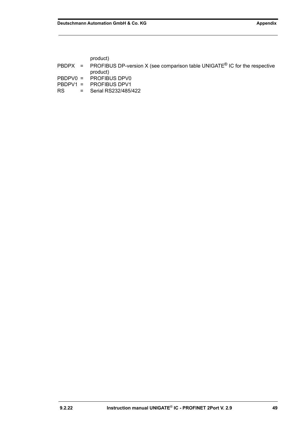product)

|  | PBDPX = PROFIBUS DP-version X (see comparison table UNIGATE <sup>®</sup> IC for the respective<br>product) |
|--|------------------------------------------------------------------------------------------------------------|
|  | PBDPV0 = PROFIBUS DPV0                                                                                     |
|  | PBDPV1 = PROFIBUS DPV1                                                                                     |

RS = Serial RS232/485/422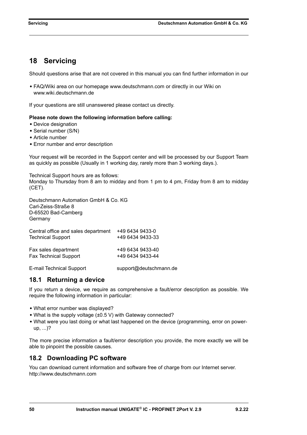# <span id="page-49-0"></span>**18 Servicing**

Should questions arise that are not covered in this manual you can find further information in our

**•** [FAQ/Wiki area on our homepage www.deutschmann.com or directly in our Wiki on](http://www.deutschmann.com)  [www.wiki.deutschmann.de](http://wiki.deutschmann.de/index.php?title=Deutschmann_Wiki/en)

If your questions are still unanswered please contact us directly.

#### **Please note down the following information before calling:**

- **•** Device designation
- **•** Serial number (S/N)
- **•** Article number
- **•** Error number and error description

Your request will be recorded in the Support center and will be processed by our Support Team as quickly as possible (Usually in 1 working day, rarely more than 3 working days.).

Technical Support hours are as follows: Monday to Thursday from 8 am to midday and from 1 pm to 4 pm, Friday from 8 am to midday (CET).

Deutschmann Automation GmbH & Co. KG Carl-Zeiss-Straße 8 D-65520 Bad-Camberg **Germany** 

| Central office and sales department | +49 6434 9433-0  |
|-------------------------------------|------------------|
| <b>Technical Support</b>            | +49 6434 9433-33 |
| Fax sales department                | +49 6434 9433-40 |
| <b>Fax Technical Support</b>        | +49 6434 9433-44 |

[E-mail Technical Support support@deutschmann.de](mailto:hotline@deutschmann.de)

### <span id="page-49-1"></span>**18.1 Returning a device**

If you return a device, we require as comprehensive a fault/error description as possible. We require the following information in particular:

- **•** What error number was displayed?
- **•** What is the supply voltage (±0.5 V) with Gateway connected?
- What were you last doing or what last happened on the device (programming, error on powerup, ...)?

The more precise information a fault/error description you provide, the more exactly we will be able to pinpoint the possible causes.

# <span id="page-49-2"></span>**18.2 Downloading PC software**

You can download current information and software free of charge from our Internet server. <http://www.deutschmann.com>